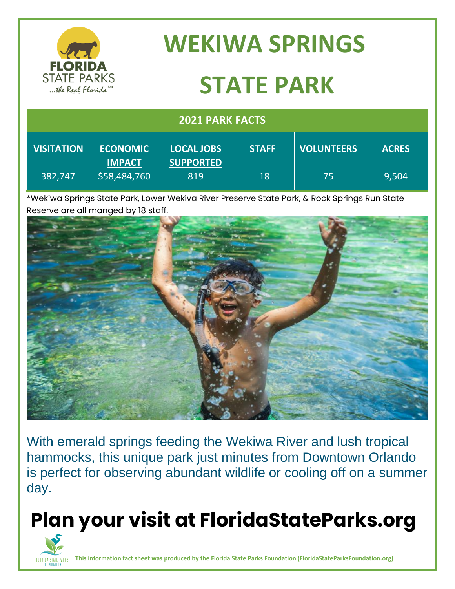| <b>FLORIDA</b><br><b>STATE PARKS</b><br>the Real Florida <sup>SM</sup> |                 | <b>WEKIWA SPRINGS</b><br><b>STATE PARK</b> |              |                   |              |  |  |                        |  |
|------------------------------------------------------------------------|-----------------|--------------------------------------------|--------------|-------------------|--------------|--|--|------------------------|--|
|                                                                        |                 |                                            |              |                   |              |  |  | <b>2021 PARK FACTS</b> |  |
| <b>VISITATION</b>                                                      | <b>ECONOMIC</b> | <b>LOCAL JOBS</b>                          | <b>STAFF</b> | <b>VOLUNTEERS</b> | <b>ACRES</b> |  |  |                        |  |

|             | <b>IMPACT</b> | <b>SUPPORTED</b>                     |    |                                                  |               |
|-------------|---------------|--------------------------------------|----|--------------------------------------------------|---------------|
| 382,747     | \$58,484,760  | 819                                  | 18 |                                                  | 9,504         |
| .<br>$\sim$ | .             | .<br>- -<br>$\overline{\phantom{a}}$ |    | $\sim$ $\sim$ $\sim$ $\sim$ $\sim$ $\sim$ $\sim$ | $\sim$<br>--- |

\*Wekiwa Springs State Park, Lower Wekiva River Preserve State Park, & Rock Springs Run State Reserve are all manged by 18 staff.



With emerald springs feeding the Wekiwa River and lush tropical hammocks, this unique park just minutes from Downtown Orlando is perfect for observing abundant wildlife or cooling off on a summer day.

# **Plan your visit at FloridaStateParks.org**



**This information fact sheet was produced by the Florida State Parks Foundation (FloridaStateParksFoundation.org)**